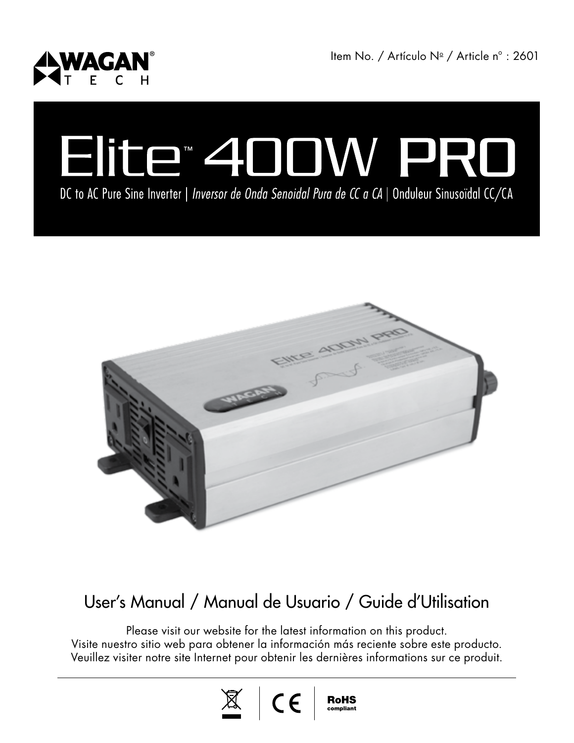

ltem No. / Artículo Nº / Article nº : 2601

# Elite<sup>\*</sup> 400W PR

DC to AC Pure Sine Inverter | Inversor de Onda Senoidal Pura de CC a CA | Onduleur Sinusoïdal CC/CA



#### User's Manual / Manual de Usuario / Guide d'Utilisation

Please visit our website for the latest information on this product. Visite nuestro sitio web para obtener la información más reciente sobre este producto. Veuillez visiter notre site Internet pour obtenir les dernières informations sur ce produit.

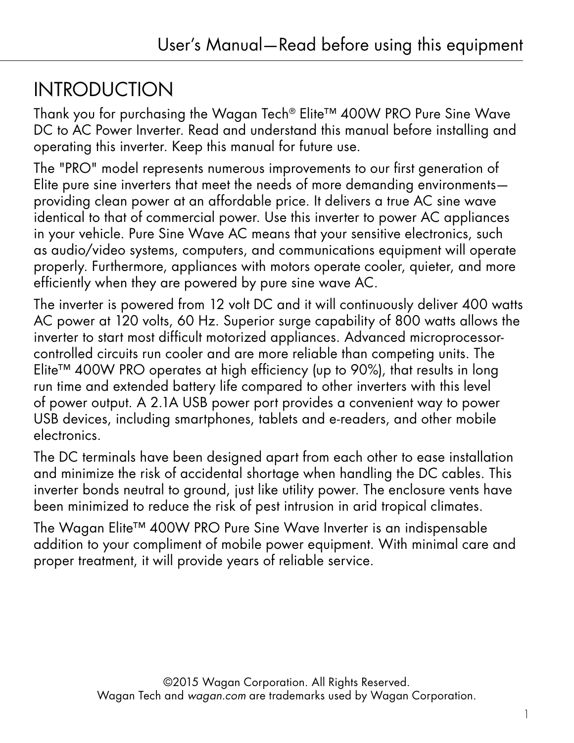## **INTRODUCTION**

Thank you for purchasing the Wagan Tech® Elite™ 400W PRO Pure Sine Wave DC to AC Power Inverter. Read and understand this manual before installing and operating this inverter. Keep this manual for future use.

The "PRO" model represents numerous improvements to our first generation of Elite pure sine inverters that meet the needs of more demanding environments providing clean power at an affordable price. It delivers a true AC sine wave identical to that of commercial power. Use this inverter to power AC appliances in your vehicle. Pure Sine Wave AC means that your sensitive electronics, such as audio/video systems, computers, and communications equipment will operate properly. Furthermore, appliances with motors operate cooler, quieter, and more efficiently when they are powered by pure sine wave AC.

The inverter is powered from 12 volt DC and it will continuously deliver 400 watts AC power at 120 volts, 60 Hz. Superior surge capability of 800 watts allows the inverter to start most difficult motorized appliances. Advanced microprocessorcontrolled circuits run cooler and are more reliable than competing units. The Elite™ 400W PRO operates at high efficiency (up to 90%), that results in long run time and extended battery life compared to other inverters with this level of power output. A 2.1A USB power port provides a convenient way to power USB devices, including smartphones, tablets and e-readers, and other mobile electronics.

The DC terminals have been designed apart from each other to ease installation and minimize the risk of accidental shortage when handling the DC cables. This inverter bonds neutral to ground, just like utility power. The enclosure vents have been minimized to reduce the risk of pest intrusion in arid tropical climates.

The Wagan Elite™ 400W PRO Pure Sine Wave Inverter is an indispensable addition to your compliment of mobile power equipment. With minimal care and proper treatment, it will provide years of reliable service.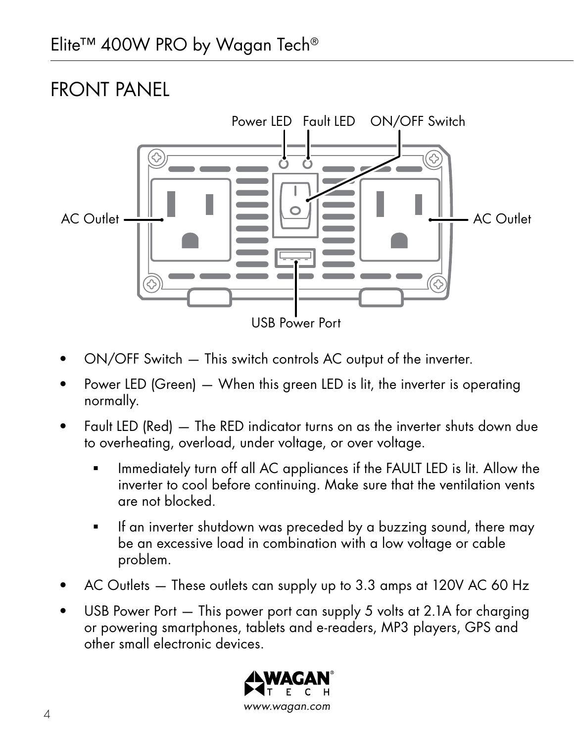## FRONT PANEL



- ON/OFF Switch This switch controls AC output of the inverter.
- Power LED (Green) When this green LED is lit, the inverter is operating normally.
- Fault LED (Red) The RED indicator turns on as the inverter shuts down due to overheating, overload, under voltage, or over voltage.
	- Immediately turn off all AC appliances if the FAULT LED is lit. Allow the inverter to cool before continuing. Make sure that the ventilation vents are not blocked.
	- If an inverter shutdown was preceded by a buzzing sound, there may be an excessive load in combination with a low voltage or cable problem.
- AC Outlets These outlets can supply up to 3.3 amps at 120V AC 60 Hz
- USB Power Port This power port can supply 5 volts at 2.1A for charging or powering smartphones, tablets and e-readers, MP3 players, GPS and other small electronic devices.

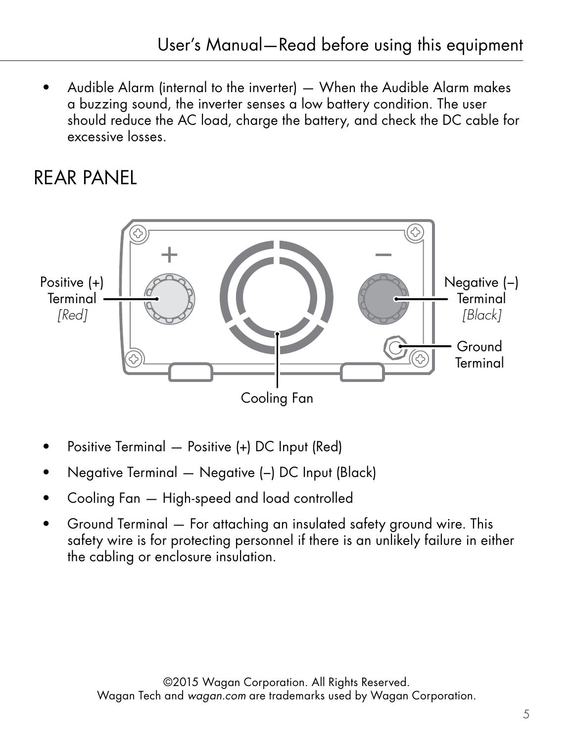• Audible Alarm (internal to the inverter) — When the Audible Alarm makes a buzzing sound, the inverter senses a low battery condition. The user should reduce the AC load, charge the battery, and check the DC cable for excessive losses.

#### REAR PANEL



- Positive Terminal Positive (+) DC Input (Red)
- Negative Terminal Negative (−) DC Input (Black)
- Cooling Fan High-speed and load controlled
- Ground Terminal For attaching an insulated safety ground wire. This safety wire is for protecting personnel if there is an unlikely failure in either the cabling or enclosure insulation.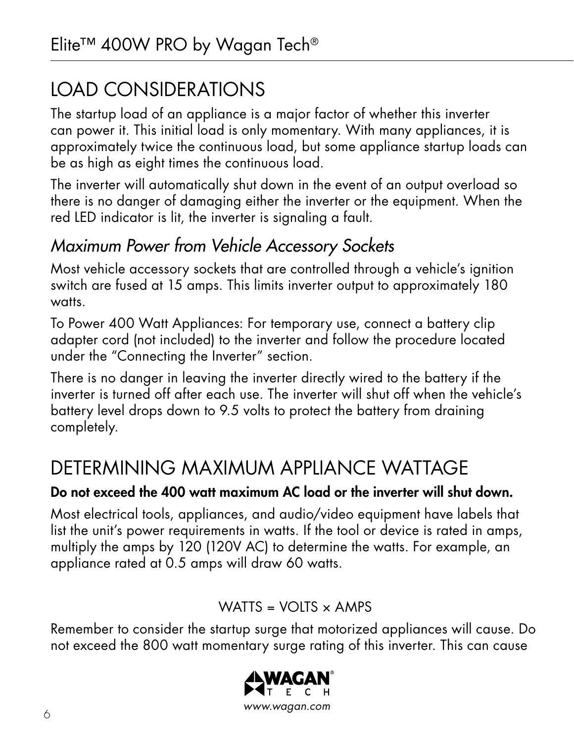# LOAD CONSIDERATIONS

The startup load of an appliance is a major factor of whether this inverter can power it. This initial load is only momentary. With many appliances, it is approximately twice the continuous load, but some appliance startup loads can be as high as eight times the continuous load.

The inverter will automatically shut down in the event of an output overload so there is no danger of damaging either the inverter or the equipment. When the red LED indicator is lit, the inverter is signaling a fault.

#### *Maximum Power from Vehicle Accessory Sockets*

Most vehicle accessory sockets that are controlled through a vehicle's ignition switch are fused at 15 amps. This limits inverter output to approximately 180 watts.

To Power 400 Watt Appliances: For temporary use, connect a battery clip adapter cord (not included) to the inverter and follow the procedure located under the "Connecting the Inverter" section.

There is no danger in leaving the inverter directly wired to the battery if the inverter is turned off after each use. The inverter will shut off when the vehicle's battery level drops down to 9.5 volts to protect the battery from draining completely.

#### DETERMINING MAXIMUM APPLIANCE WATTAGE

#### Do not exceed the 400 watt maximum AC load or the inverter will shut down.

Most electrical tools, appliances, and audio/video equipment have labels that list the unit's power requirements in watts. If the tool or device is rated in amps, multiply the amps by 120 (120V AC) to determine the watts. For example, an appliance rated at 0.5 amps will draw 60 watts.

#### WATTS =  $VOLTS \times AMPS$

Remember to consider the startup surge that motorized appliances will cause. Do not exceed the 800 watt momentary surge rating of this inverter. This can cause

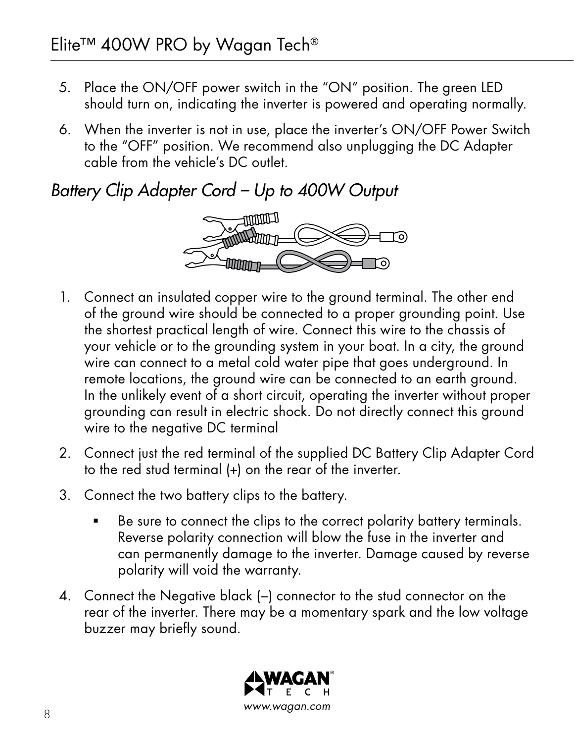- 5. Place the ON/OFF power switch in the "ON" position. The green LED should turn on, indicating the inverter is powered and operating normally.
- 6. When the inverter is not in use, place the inverter's ON/OFF Power Switch to the "OFF" position. We recommend also unplugging the DC Adapter cable from the vehicle's DC outlet.

#### *Battery Clip Adapter Cord – Up to 400W Output*



- 1. Connect an insulated copper wire to the ground terminal. The other end of the ground wire should be connected to a proper grounding point. Use the shortest practical length of wire. Connect this wire to the chassis of your vehicle or to the grounding system in your boat. In a city, the ground wire can connect to a metal cold water pipe that goes underground. In remote locations, the ground wire can be connected to an earth ground. In the unlikely event of a short circuit, operating the inverter without proper grounding can result in electric shock. Do not directly connect this ground wire to the negative DC terminal
- 2. Connect just the red terminal of the supplied DC Battery Clip Adapter Cord to the red stud terminal (+) on the rear of the inverter.
- 3. Connect the two battery clips to the battery.
	- Be sure to connect the clips to the correct polarity battery terminals. Reverse polarity connection will blow the fuse in the inverter and can permanently damage to the inverter. Damage caused by reverse polarity will void the warranty.
- 4. Connect the Negative black (−) connector to the stud connector on the rear of the inverter. There may be a momentary spark and the low voltage buzzer may briefly sound.

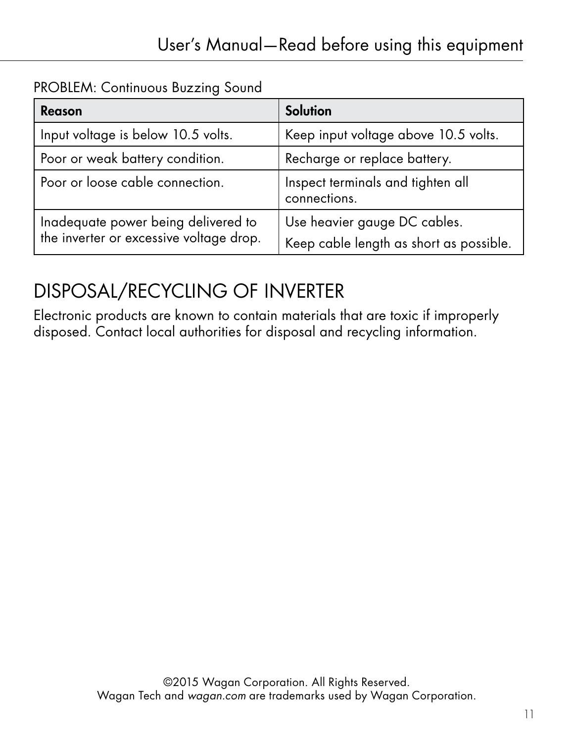PROBLEM: Continuous Buzzing Sound

| Reason                                                                         | Solution                                                                |
|--------------------------------------------------------------------------------|-------------------------------------------------------------------------|
| Input voltage is below 10.5 volts.                                             | Keep input voltage above 10.5 volts.                                    |
| Poor or weak battery condition.                                                | Recharge or replace battery.                                            |
| Poor or loose cable connection.                                                | Inspect terminals and tighten all<br>connections.                       |
| Inadequate power being delivered to<br>the inverter or excessive voltage drop. | Use heavier gauge DC cables.<br>Keep cable length as short as possible. |

## DISPOSAL/RECYCLING OF INVERTER

Electronic products are known to contain materials that are toxic if improperly disposed. Contact local authorities for disposal and recycling information.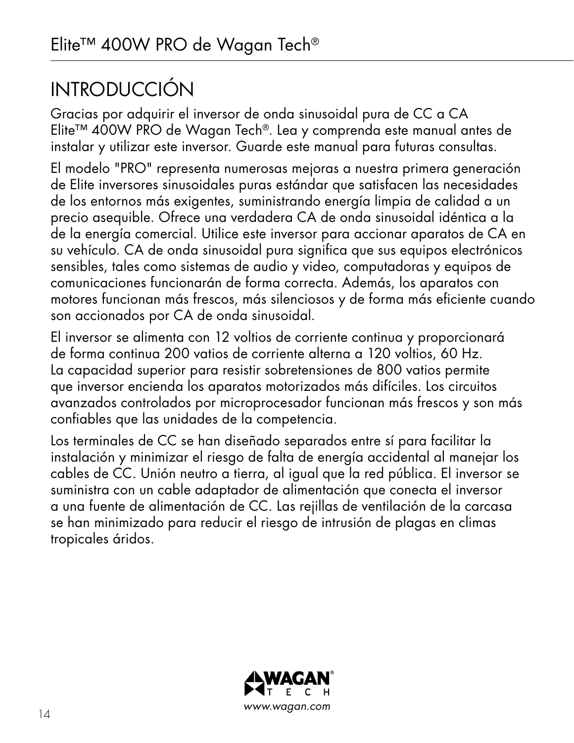# INTRODUCCIÓN

Gracias por adquirir el inversor de onda sinusoidal pura de CC a CA Elite™ 400W PRO de Wagan Tech®. Lea y comprenda este manual antes de instalar y utilizar este inversor. Guarde este manual para futuras consultas.

El modelo "PRO" representa numerosas mejoras a nuestra primera generación de Elite inversores sinusoidales puras estándar que satisfacen las necesidades de los entornos más exigentes, suministrando energía limpia de calidad a un precio asequible. Ofrece una verdadera CA de onda sinusoidal idéntica a la de la energía comercial. Utilice este inversor para accionar aparatos de CA en su vehículo. CA de onda sinusoidal pura significa que sus equipos electrónicos sensibles, tales como sistemas de audio y video, computadoras y equipos de comunicaciones funcionarán de forma correcta. Además, los aparatos con motores funcionan más frescos, más silenciosos y de forma más eficiente cuando son accionados por CA de onda sinusoidal.

El inversor se alimenta con 12 voltios de corriente continua y proporcionará de forma continua 200 vatios de corriente alterna a 120 voltios, 60 Hz. La capacidad superior para resistir sobretensiones de 800 vatios permite que inversor encienda los aparatos motorizados más difíciles. Los circuitos avanzados controlados por microprocesador funcionan más frescos y son más confiables que las unidades de la competencia.

Los terminales de CC se han diseñado separados entre sí para facilitar la instalación y minimizar el riesgo de falta de energía accidental al manejar los cables de CC. Unión neutro a tierra, al igual que la red pública. El inversor se suministra con un cable adaptador de alimentación que conecta el inversor a una fuente de alimentación de CC. Las rejillas de ventilación de la carcasa se han minimizado para reducir el riesgo de intrusión de plagas en climas tropicales áridos.

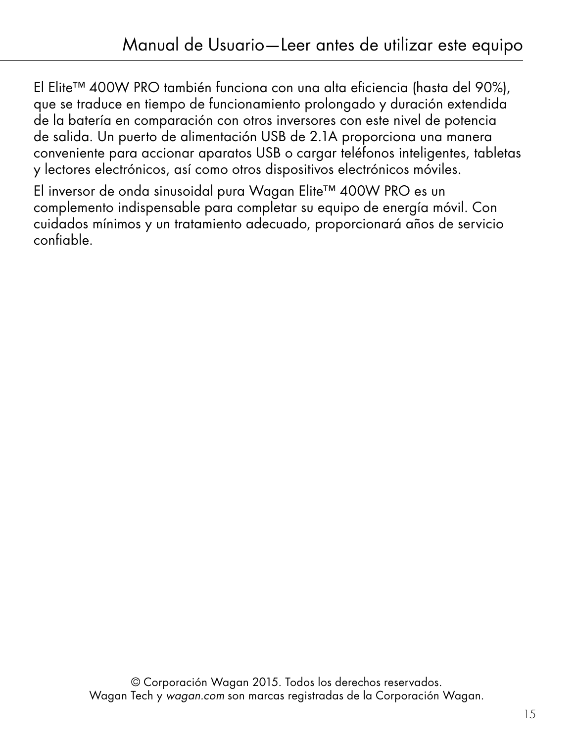El Elite™ 400W PRO también funciona con una alta eficiencia (hasta del 90%), que se traduce en tiempo de funcionamiento prolongado y duración extendida de la batería en comparación con otros inversores con este nivel de potencia de salida. Un puerto de alimentación USB de 2.1A proporciona una manera conveniente para accionar aparatos USB o cargar teléfonos inteligentes, tabletas y lectores electrónicos, así como otros dispositivos electrónicos móviles.

El inversor de onda sinusoidal pura Wagan Elite™ 400W PRO es un complemento indispensable para completar su equipo de energía móvil. Con cuidados mínimos y un tratamiento adecuado, proporcionará años de servicio confiable.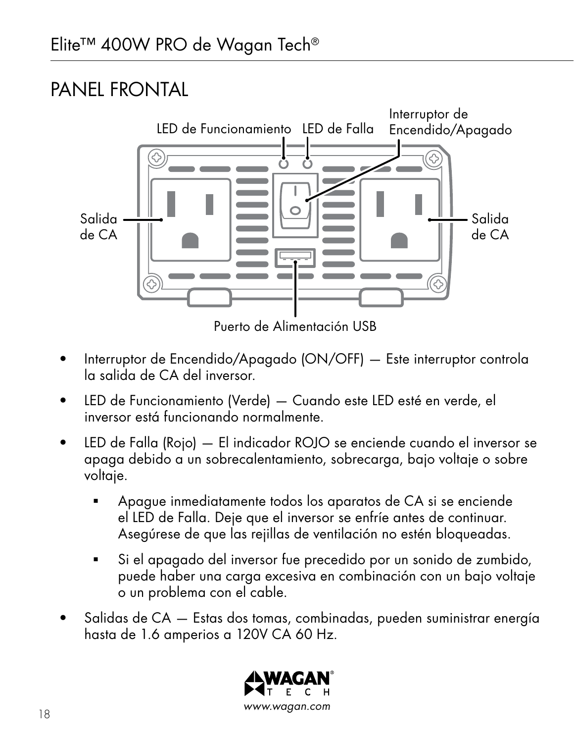## PANEL FRONTAL



Puerto de Alimentación USB

- Interruptor de Encendido/Apagado (ON/OFF) Este interruptor controla la salida de CA del inversor.
- LED de Funcionamiento (Verde) Cuando este LED esté en verde, el inversor está funcionando normalmente.
- LED de Falla (Rojo) El indicador ROJO se enciende cuando el inversor se apaga debido a un sobrecalentamiento, sobrecarga, bajo voltaje o sobre voltaje.
	- Apague inmediatamente todos los aparatos de CA si se enciende el LED de Falla. Deje que el inversor se enfríe antes de continuar. Asegúrese de que las rejillas de ventilación no estén bloqueadas.
	- Si el apagado del inversor fue precedido por un sonido de zumbido, puede haber una carga excesiva en combinación con un bajo voltaje o un problema con el cable.
- Salidas de CA Estas dos tomas, combinadas, pueden suministrar energía hasta de 1.6 amperios a 120V CA 60 Hz.

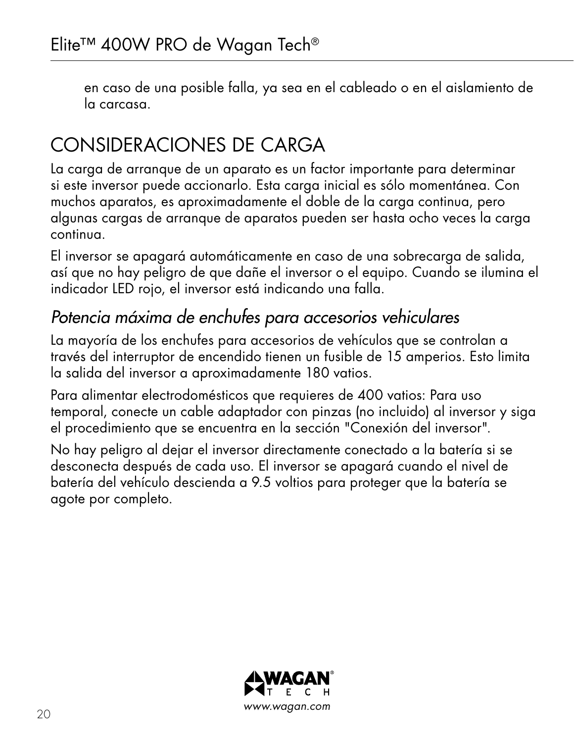en caso de una posible falla, ya sea en el cableado o en el aislamiento de la carcasa.

# CONSIDERACIONES DE CARGA

La carga de arranque de un aparato es un factor importante para determinar si este inversor puede accionarlo. Esta carga inicial es sólo momentánea. Con muchos aparatos, es aproximadamente el doble de la carga continua, pero algunas cargas de arranque de aparatos pueden ser hasta ocho veces la carga continua.

El inversor se apagará automáticamente en caso de una sobrecarga de salida, así que no hay peligro de que dañe el inversor o el equipo. Cuando se ilumina el indicador LED rojo, el inversor está indicando una falla.

#### *Potencia máxima de enchufes para accesorios vehiculares*

La mayoría de los enchufes para accesorios de vehículos que se controlan a través del interruptor de encendido tienen un fusible de 15 amperios. Esto limita la salida del inversor a aproximadamente 180 vatios.

Para alimentar electrodomésticos que requieres de 400 vatios: Para uso temporal, conecte un cable adaptador con pinzas (no incluido) al inversor y siga el procedimiento que se encuentra en la sección "Conexión del inversor".

No hay peligro al dejar el inversor directamente conectado a la batería si se desconecta después de cada uso. El inversor se apagará cuando el nivel de batería del vehículo descienda a 9.5 voltios para proteger que la batería se agote por completo.

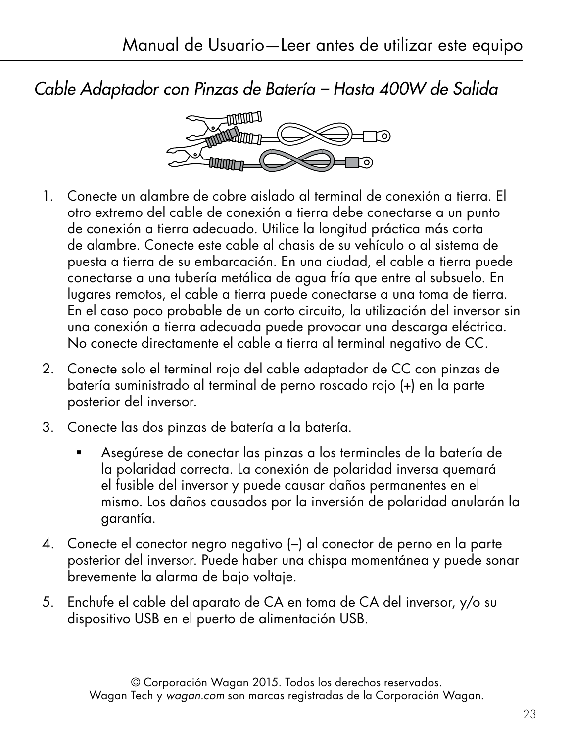*Cable Adaptador con Pinzas de Batería – Hasta 400W de Salida*



- 1. Conecte un alambre de cobre aislado al terminal de conexión a tierra. El otro extremo del cable de conexión a tierra debe conectarse a un punto de conexión a tierra adecuado. Utilice la longitud práctica más corta de alambre. Conecte este cable al chasis de su vehículo o al sistema de puesta a tierra de su embarcación. En una ciudad, el cable a tierra puede conectarse a una tubería metálica de agua fría que entre al subsuelo. En lugares remotos, el cable a tierra puede conectarse a una toma de tierra. En el caso poco probable de un corto circuito, la utilización del inversor sin una conexión a tierra adecuada puede provocar una descarga eléctrica. No conecte directamente el cable a tierra al terminal negativo de CC.
- 2. Conecte solo el terminal rojo del cable adaptador de CC con pinzas de batería suministrado al terminal de perno roscado rojo (+) en la parte posterior del inversor.
- 3. Conecte las dos pinzas de batería a la batería.
	- Asegúrese de conectar las pinzas a los terminales de la batería de la polaridad correcta. La conexión de polaridad inversa quemará el fusible del inversor y puede causar daños permanentes en el mismo. Los daños causados por la inversión de polaridad anularán la garantía.
- 4. Conecte el conector negro negativo (−) al conector de perno en la parte posterior del inversor. Puede haber una chispa momentánea y puede sonar brevemente la alarma de bajo voltaje.
- 5. Enchufe el cable del aparato de CA en toma de CA del inversor, y/o su dispositivo USB en el puerto de alimentación USB.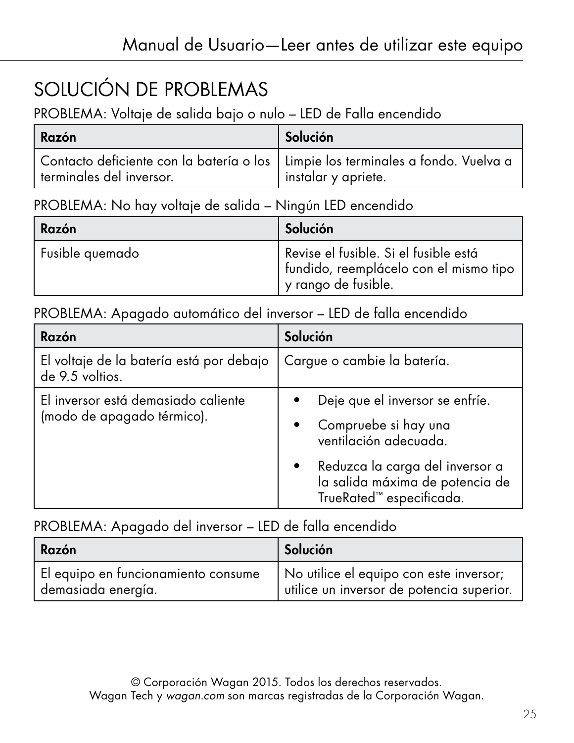# SOLUCIÓN DE PROBLEMAS

PROBLEMA: Voltaje de salida bajo o nulo – LED de Falla encendido

| Razón                                                                                                          | Solución            |
|----------------------------------------------------------------------------------------------------------------|---------------------|
| Contacto deficiente con la batería o los   Limpie los terminales a fondo. Vuelva a<br>terminales del inversor. | instalar y apriete. |

PROBLEMA: No hay voltaje de salida – Ningún LED encendido

| Razón           | Solución                                                                                                |
|-----------------|---------------------------------------------------------------------------------------------------------|
| Fusible quemado | Revise el fusible. Si el fusible está<br>fundido, reemplácelo con el mismo tipo<br>ly rango de fusible. |

PROBLEMA: Apagado automático del inversor – LED de falla encendido

| Razón                                                             | Solución                                                                                                                                                                           |
|-------------------------------------------------------------------|------------------------------------------------------------------------------------------------------------------------------------------------------------------------------------|
| El voltaje de la batería está por debajo<br>de 9.5 voltios.       | Cargue o cambie la batería.                                                                                                                                                        |
| El inversor está demasiado caliente<br>(modo de apagado térmico). | Deje que el inversor se enfríe.<br>Compruebe si hay una<br>ventilación adecuada.<br>Reduzca la carga del inversor a<br>la salida máxima de potencia de<br>TrueRated™ especificada. |

#### PROBLEMA: Apagado del inversor – LED de falla encendido

| Razón                               | Solución                                  |
|-------------------------------------|-------------------------------------------|
| El equipo en funcionamiento consume | No utilice el equipo con este inversor;   |
| demasiada energía.                  | utilice un inversor de potencia superior. |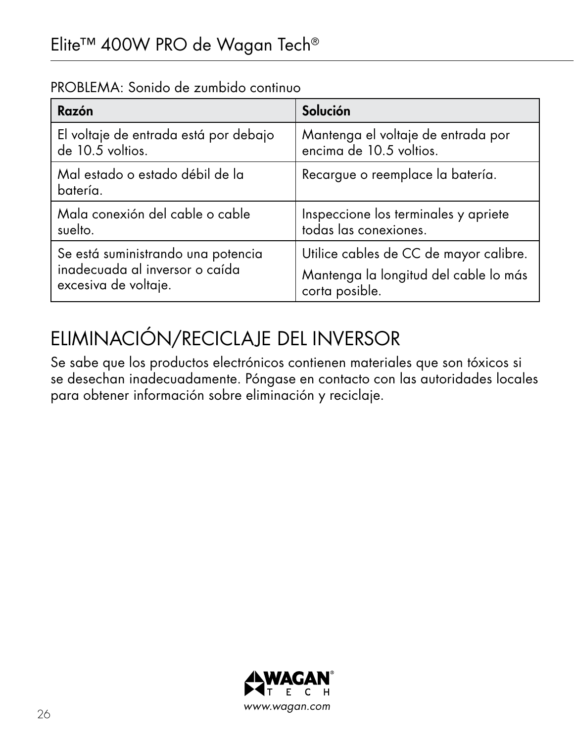| Razón                                       | Solución                               |
|---------------------------------------------|----------------------------------------|
| El voltaje de entrada está por debajo       | Mantenga el voltaje de entrada por     |
| de 10.5 voltios.                            | encima de 10.5 voltios.                |
| Mal estado o estado débil de la<br>batería. | Recargue o reemplace la batería.       |
| Mala conexión del cable o cable             | Inspeccione los terminales y apriete   |
| suelto.                                     | todas las conexiones.                  |
| Se está suministrando una potencia          | Utilice cables de CC de mayor calibre. |
| inadecuada al inversor o caída              | Mantenga la longitud del cable lo más  |
| excesiva de voltaje.                        | corta posible.                         |

PROBLEMA: Sonido de zumbido continuo

# ELIMINACIÓN/RECICLAJE DEL INVERSOR

Se sabe que los productos electrónicos contienen materiales que son tóxicos si se desechan inadecuadamente. Póngase en contacto con las autoridades locales para obtener información sobre eliminación y reciclaje.

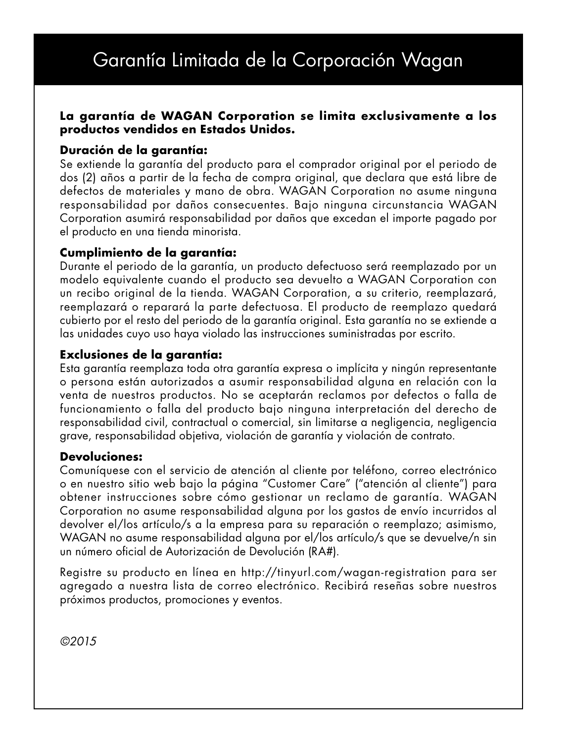### Garantía Limitada de la Corporación Wagan

#### **La garantía de WAGAN Corporation se limita exclusivamente a los productos vendidos en Estados Unidos.**

#### **Duración de la garantía:**

Se extiende la garantía del producto para el comprador original por el periodo de dos (2) años a partir de la fecha de compra original, que declara que está libre de defectos de materiales y mano de obra. WAGAN Corporation no asume ninguna responsabilidad por daños consecuentes. Bajo ninguna circunstancia WAGAN Corporation asumirá responsabilidad por daños que excedan el importe pagado por el producto en una tienda minorista.

#### **Cumplimiento de la garantía:**

Durante el periodo de la garantía, un producto defectuoso será reemplazado por un modelo equivalente cuando el producto sea devuelto a WAGAN Corporation con un recibo original de la tienda. WAGAN Corporation, a su criterio, reemplazará, reemplazará o reparará la parte defectuosa. El producto de reemplazo quedará cubierto por el resto del periodo de la garantía original. Esta garantía no se extiende a las unidades cuyo uso haya violado las instrucciones suministradas por escrito.

#### **Exclusiones de la garantía:**

Esta garantía reemplaza toda otra garantía expresa o implícita y ningún representante o persona están autorizados a asumir responsabilidad alguna en relación con la venta de nuestros productos. No se aceptarán reclamos por defectos o falla de funcionamiento o falla del producto bajo ninguna interpretación del derecho de responsabilidad civil, contractual o comercial, sin limitarse a negligencia, negligencia grave, responsabilidad objetiva, violación de garantía y violación de contrato.

#### **Devoluciones:**

Comuníquese con el servicio de atención al cliente por teléfono, correo electrónico o en nuestro sitio web bajo la página "Customer Care" ("atención al cliente") para obtener instrucciones sobre cómo gestionar un reclamo de garantía. WAGAN Corporation no asume responsabilidad alguna por los gastos de envío incurridos al devolver el/los artículo/s a la empresa para su reparación o reemplazo; asimismo, WAGAN no asume responsabilidad alguna por el/los artículo/s que se devuelve/n sin un número oficial de Autorización de Devolución (RA#).

Registre su producto en línea en http://tinyurl.com/wagan-registration para ser agregado a nuestra lista de correo electrónico. Recibirá reseñas sobre nuestros próximos productos, promociones y eventos.

*©2015*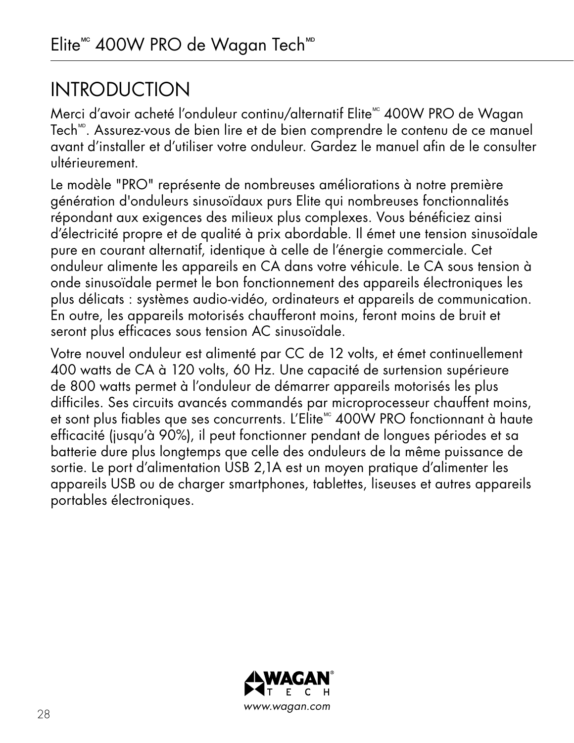## **INTRODUCTION**

Merci d'avoir acheté l'onduleur continu/alternatif Elite<sup>xc</sup> 400W PRO de Wagan Tech<sup>tte</sup>. Assurez-vous de bien lire et de bien comprendre le contenu de ce manuel avant d'installer et d'utiliser votre onduleur. Gardez le manuel afin de le consulter ultérieurement.

Le modèle "PRO" représente de nombreuses améliorations à notre première génération d'onduleurs sinusoïdaux purs Elite qui nombreuses fonctionnalités répondant aux exigences des milieux plus complexes. Vous bénéficiez ainsi d'électricité propre et de qualité à prix abordable. Il émet une tension sinusoïdale pure en courant alternatif, identique à celle de l'énergie commerciale. Cet onduleur alimente les appareils en CA dans votre véhicule. Le CA sous tension à onde sinusoïdale permet le bon fonctionnement des appareils électroniques les plus délicats : systèmes audio-vidéo, ordinateurs et appareils de communication. En outre, les appareils motorisés chaufferont moins, feront moins de bruit et seront plus efficaces sous tension AC sinusoïdale.

Votre nouvel onduleur est alimenté par CC de 12 volts, et émet continuellement 400 watts de CA à 120 volts, 60 Hz. Une capacité de surtension supérieure de 800 watts permet à l'onduleur de démarrer appareils motorisés les plus difficiles. Ses circuits avancés commandés par microprocesseur chauffent moins, et sont plus fiables que ses concurrents. L'Elite<sup>®</sup> 400W PRO fonctionnant à haute efficacité (jusqu'à 90%), il peut fonctionner pendant de longues périodes et sa batterie dure plus longtemps que celle des onduleurs de la même puissance de sortie. Le port d'alimentation USB 2,1A est un moyen pratique d'alimenter les appareils USB ou de charger smartphones, tablettes, liseuses et autres appareils portables électroniques.

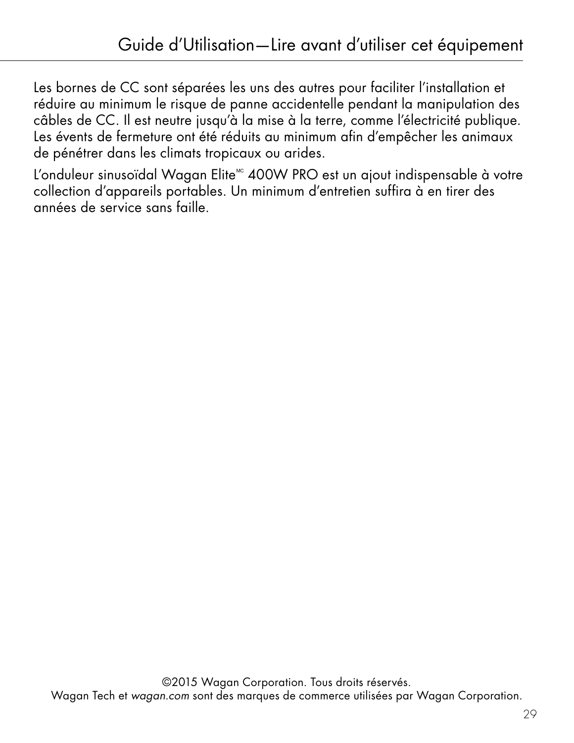Les bornes de CC sont séparées les uns des autres pour faciliter l'installation et réduire au minimum le risque de panne accidentelle pendant la manipulation des câbles de CC. Il est neutre jusqu'à la mise à la terre, comme l'électricité publique. Les évents de fermeture ont été réduits au minimum afin d'empêcher les animaux de pénétrer dans les climats tropicaux ou arides.

L'onduleur sinusoïdal Wagan Elite<sup>®</sup> 400W PRO est un ajout indispensable à votre collection d'appareils portables. Un minimum d'entretien suffira à en tirer des années de service sans faille.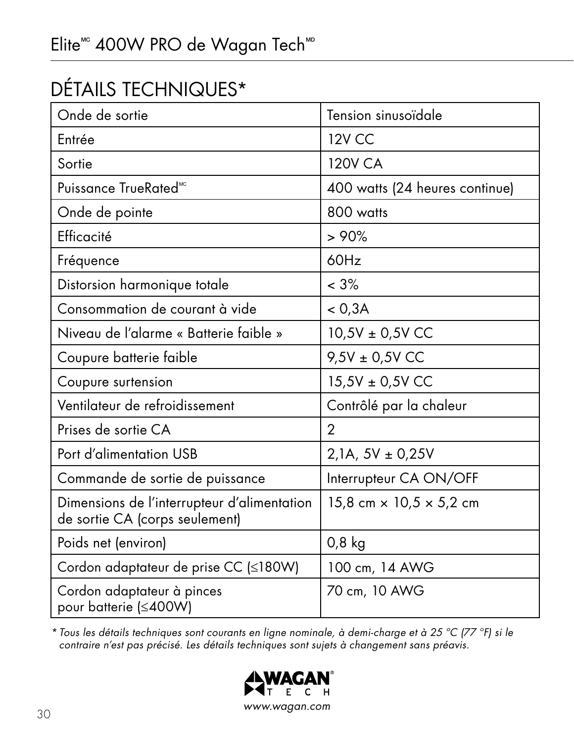# DÉTAILS TECHNIQUES\*

| Onde de sortie                                                                | Tension sinusoïdale                   |
|-------------------------------------------------------------------------------|---------------------------------------|
| Entrée                                                                        | <b>12V CC</b>                         |
| Sortie                                                                        | <b>120V CA</b>                        |
| Puissance TrueRated <sup>®c</sup>                                             | 400 watts (24 heures continue)        |
| Onde de pointe                                                                | 800 watts                             |
| Efficacité                                                                    | >90%                                  |
| Fréquence                                                                     | 60Hz                                  |
| Distorsion harmonique totale                                                  | $< 3\%$                               |
| Consommation de courant à vide                                                | < 0.3A                                |
| Niveau de l'alarme « Batterie faible »                                        | $10,5V \pm 0,5V$ CC                   |
| Coupure batterie faible                                                       | $9,5V \pm 0,5V$ CC                    |
| Coupure surtension                                                            | 15,5V ± 0,5V CC                       |
| Ventilateur de refroidissement                                                | Contrôlé par la chaleur               |
| Prises de sortie CA                                                           | $\overline{2}$                        |
| Port d'alimentation USB                                                       | $2,1A, 5V \pm 0,25V$                  |
| Commande de sortie de puissance                                               | Interrupteur CA ON/OFF                |
| Dimensions de l'interrupteur d'alimentation<br>de sortie CA (corps seulement) | 15,8 cm $\times$ 10,5 $\times$ 5,2 cm |
| Poids net (environ)                                                           | $0,8$ kg                              |
| Cordon adaptateur de prise CC (≤180W)                                         | 100 cm, 14 AWG                        |
| Cordon adaptateur à pinces<br>pour batterie (≤400W)                           | 70 cm, 10 AWG                         |

*\* Tous les détails techniques sont courants en ligne nominale, à demi-charge et à 25 ºC (77 ºF) si le contraire n'est pas précisé. Les détails techniques sont sujets à changement sans préavis.*

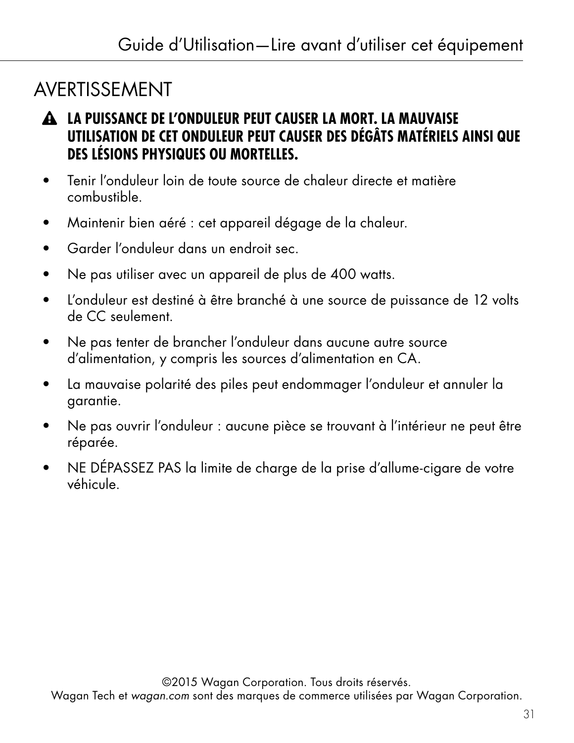# AVERTISSEMENT

- **LA PUISSANCE DE L'ONDULEUR PEUT CAUSER LA MORT. LA MAUVAISE UTILISATION DE CET ONDULEUR PEUT CAUSER DES DÉGÂTS MATÉRIELS AINSI QUE DES LÉSIONS PHYSIQUES OU MORTELLES.**
- Tenir l'onduleur loin de toute source de chaleur directe et matière combustible.
- Maintenir bien aéré : cet appareil dégage de la chaleur.
- Garder l'onduleur dans un endroit sec.
- Ne pas utiliser avec un appareil de plus de 400 watts.
- L'onduleur est destiné à être branché à une source de puissance de 12 volts de CC seulement.
- Ne pas tenter de brancher l'onduleur dans aucune autre source d'alimentation, y compris les sources d'alimentation en CA.
- La mauvaise polarité des piles peut endommager l'onduleur et annuler la garantie.
- Ne pas ouvrir l'onduleur : aucune pièce se trouvant à l'intérieur ne peut être réparée.
- NE DÉPASSEZ PAS la limite de charge de la prise d'allume-cigare de votre véhicule.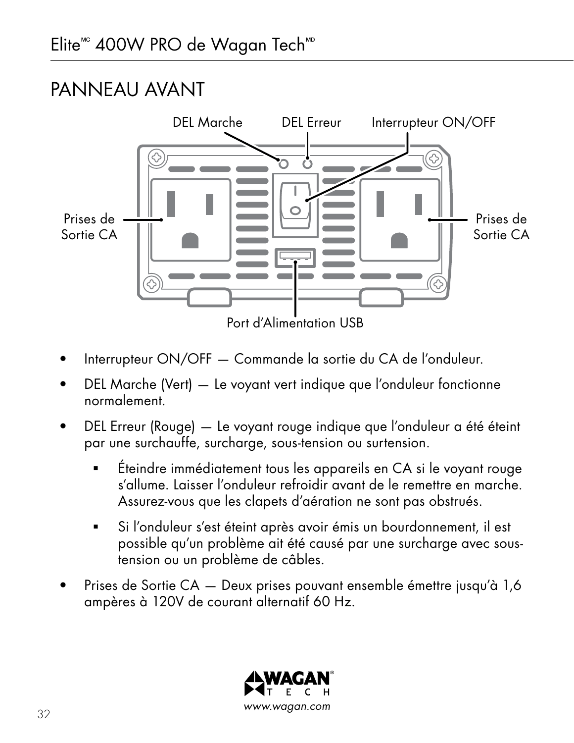### PANNEAU AVANT



- Interrupteur ON/OFF Commande la sortie du CA de l'onduleur.
- DEL Marche (Vert) Le voyant vert indique que l'onduleur fonctionne normalement.
- DEL Erreur (Rouge) Le voyant rouge indique que l'onduleur a été éteint par une surchauffe, surcharge, sous-tension ou surtension.
	- Éteindre immédiatement tous les appareils en CA si le voyant rouge s'allume. Laisser l'onduleur refroidir avant de le remettre en marche. Assurez-vous que les clapets d'aération ne sont pas obstrués.
	- Si l'onduleur s'est éteint après avoir émis un bourdonnement, il est possible qu'un problème ait été causé par une surcharge avec soustension ou un problème de câbles.
- Prises de Sortie CA Deux prises pouvant ensemble émettre jusqu'à 1,6 ampères à 120V de courant alternatif 60 Hz.

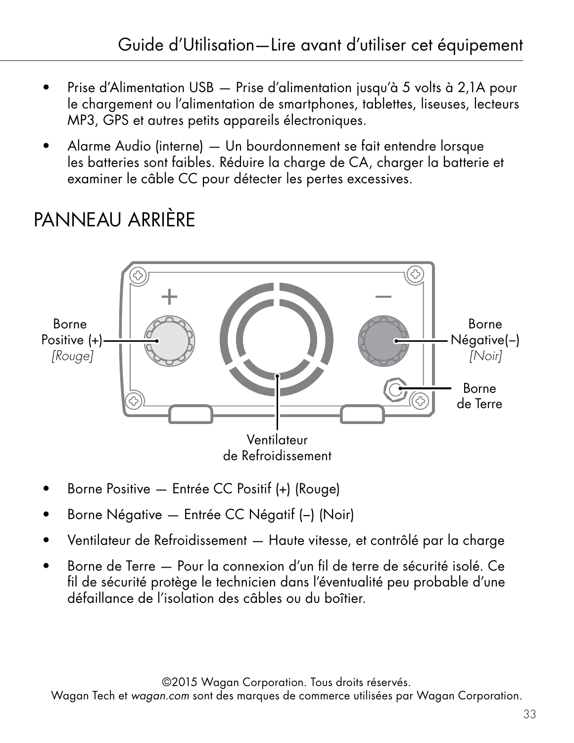- Prise d'Alimentation USB Prise d'alimentation jusqu'à 5 volts à 2,1A pour le chargement ou l'alimentation de smartphones, tablettes, liseuses, lecteurs MP3, GPS et autres petits appareils électroniques.
- Alarme Audio (interne) Un bourdonnement se fait entendre lorsque les batteries sont faibles. Réduire la charge de CA, charger la batterie et examiner le câble CC pour détecter les pertes excessives.

# PANNEAU ARRIÈRE



- Borne Positive Entrée CC Positif (+) (Rouge)
- Borne Négative Entrée CC Négatif (−) (Noir)
- Ventilateur de Refroidissement Haute vitesse, et contrôlé par la charge
- Borne de Terre Pour la connexion d'un fil de terre de sécurité isolé. Ce fil de sécurité protège le technicien dans l'éventualité peu probable d'une défaillance de l'isolation des câbles ou du boîtier.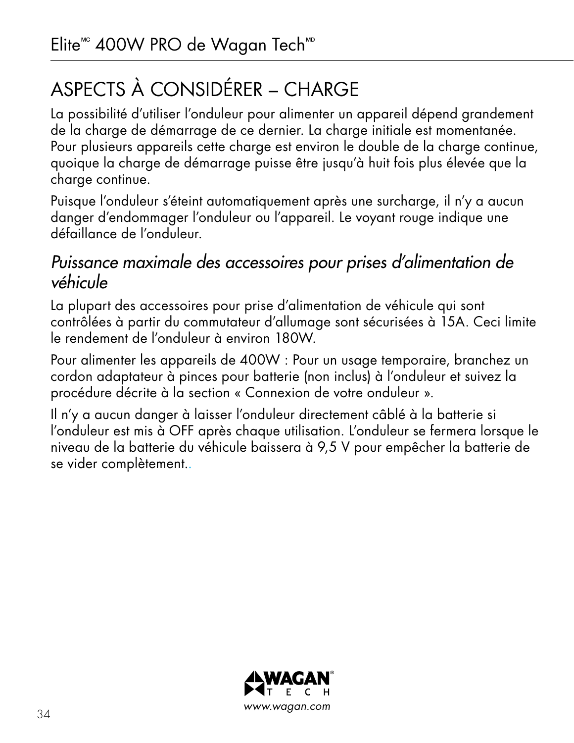# ASPECTS À CONSIDÉRER – CHARGE

La possibilité d'utiliser l'onduleur pour alimenter un appareil dépend grandement de la charge de démarrage de ce dernier. La charge initiale est momentanée. Pour plusieurs appareils cette charge est environ le double de la charge continue, quoique la charge de démarrage puisse être jusqu'à huit fois plus élevée que la charge continue.

Puisque l'onduleur s'éteint automatiquement après une surcharge, il n'y a aucun danger d'endommager l'onduleur ou l'appareil. Le voyant rouge indique une défaillance de l'onduleur.

#### *Puissance maximale des accessoires pour prises d'alimentation de véhicule*

La plupart des accessoires pour prise d'alimentation de véhicule qui sont contrôlées à partir du commutateur d'allumage sont sécurisées à 15A. Ceci limite le rendement de l'onduleur à environ 180W.

Pour alimenter les appareils de 400W : Pour un usage temporaire, branchez un cordon adaptateur à pinces pour batterie (non inclus) à l'onduleur et suivez la procédure décrite à la section « Connexion de votre onduleur ».

Il n'y a aucun danger à laisser l'onduleur directement câblé à la batterie si l'onduleur est mis à OFF après chaque utilisation. L'onduleur se fermera lorsque le niveau de la batterie du véhicule baissera à 9,5 V pour empêcher la batterie de se vider complètement..

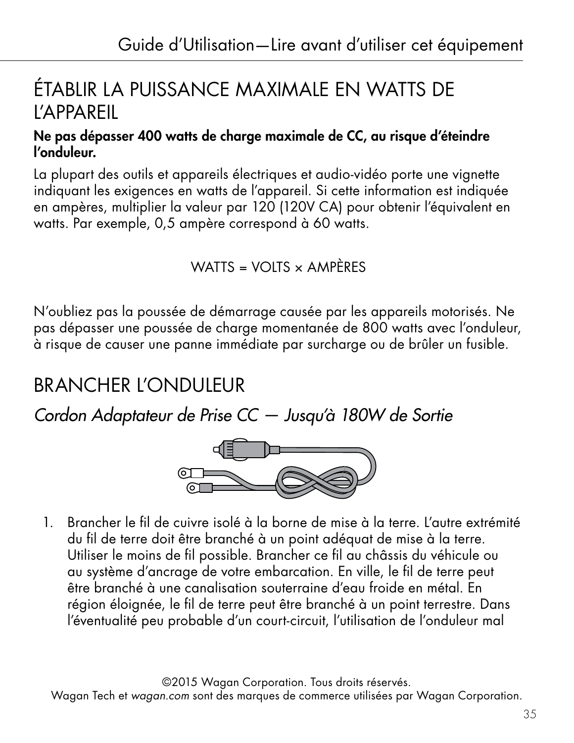## ÉTABLIR LA PUISSANCE MAXIMALE EN WATTS DE L'APPAREIL

#### Ne pas dépasser 400 watts de charge maximale de CC, au risque d'éteindre l'onduleur.

La plupart des outils et appareils électriques et audio-vidéo porte une vignette indiquant les exigences en watts de l'appareil. Si cette information est indiquée en ampères, multiplier la valeur par 120 (120V CA) pour obtenir l'équivalent en watts. Par exemple, 0,5 ampère correspond à 60 watts.

WATTS = VOITS  $\times$  AMPÈRES

N'oubliez pas la poussée de démarrage causée par les appareils motorisés. Ne pas dépasser une poussée de charge momentanée de 800 watts avec l'onduleur, à risque de causer une panne immédiate par surcharge ou de brûler un fusible.

## BRANCHER L'ONDULEUR

*Cordon Adaptateur de Prise CC — Jusqu'à 180W de Sortie*



1. Brancher le fil de cuivre isolé à la borne de mise à la terre. L'autre extrémité du fil de terre doit être branché à un point adéquat de mise à la terre. Utiliser le moins de fil possible. Brancher ce fil au châssis du véhicule ou au système d'ancrage de votre embarcation. En ville, le fil de terre peut être branché à une canalisation souterraine d'eau froide en métal. En région éloignée, le fil de terre peut être branché à un point terrestre. Dans l'éventualité peu probable d'un court-circuit, l'utilisation de l'onduleur mal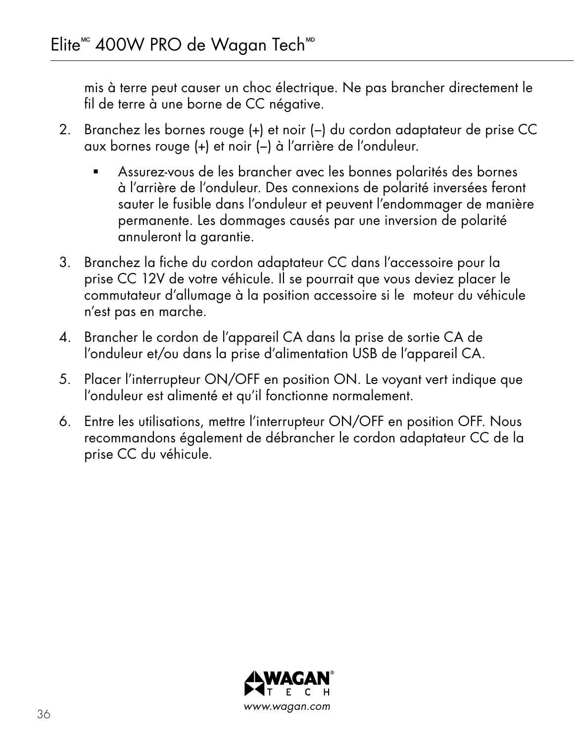mis à terre peut causer un choc électrique. Ne pas brancher directement le fil de terre à une borne de CC négative.

- 2. Branchez les bornes rouge (+) et noir (−) du cordon adaptateur de prise CC aux bornes rouge (+) et noir (−) à l'arrière de l'onduleur.
	- Assurez-vous de les brancher avec les bonnes polarités des bornes à l'arrière de l'onduleur. Des connexions de polarité inversées feront sauter le fusible dans l'onduleur et peuvent l'endommager de manière permanente. Les dommages causés par une inversion de polarité annuleront la garantie.
- 3. Branchez la fiche du cordon adaptateur CC dans l'accessoire pour la prise CC 12V de votre véhicule. Il se pourrait que vous deviez placer le commutateur d'allumage à la position accessoire si le moteur du véhicule n'est pas en marche.
- 4. Brancher le cordon de l'appareil CA dans la prise de sortie CA de l'onduleur et/ou dans la prise d'alimentation USB de l'appareil CA.
- 5. Placer l'interrupteur ON/OFF en position ON. Le voyant vert indique que l'onduleur est alimenté et qu'il fonctionne normalement.
- 6. Entre les utilisations, mettre l'interrupteur ON/OFF en position OFF. Nous recommandons également de débrancher le cordon adaptateur CC de la prise CC du véhicule.

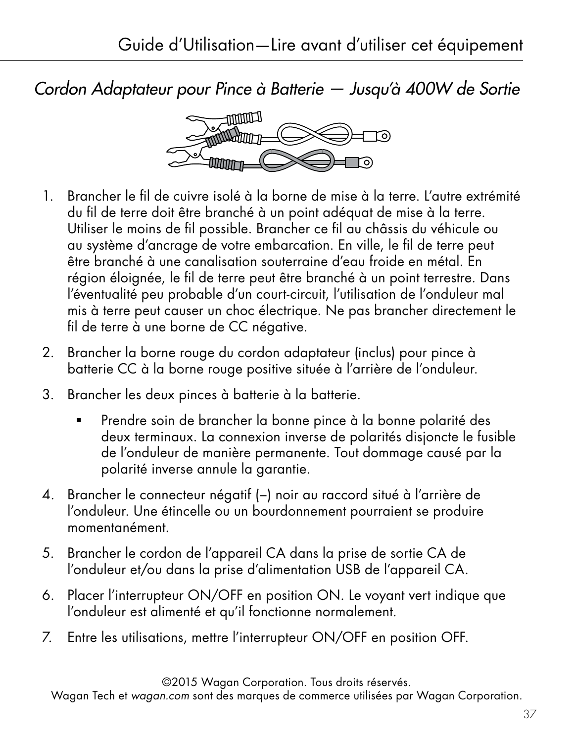*Cordon Adaptateur pour Pince à Batterie — Jusqu'à 400W de Sortie*



- 1. Brancher le fil de cuivre isolé à la borne de mise à la terre. L'autre extrémité du fil de terre doit être branché à un point adéquat de mise à la terre. Utiliser le moins de fil possible. Brancher ce fil au châssis du véhicule ou au système d'ancrage de votre embarcation. En ville, le fil de terre peut être branché à une canalisation souterraine d'eau froide en métal. En région éloignée, le fil de terre peut être branché à un point terrestre. Dans l'éventualité peu probable d'un court-circuit, l'utilisation de l'onduleur mal mis à terre peut causer un choc électrique. Ne pas brancher directement le fil de terre à une borne de CC négative.
- 2. Brancher la borne rouge du cordon adaptateur (inclus) pour pince à batterie CC à la borne rouge positive située à l'arrière de l'onduleur.
- 3. Brancher les deux pinces à batterie à la batterie.
	- Prendre soin de brancher la bonne pince à la bonne polarité des deux terminaux. La connexion inverse de polarités disjoncte le fusible de l'onduleur de manière permanente. Tout dommage causé par la polarité inverse annule la garantie.
- 4. Brancher le connecteur négatif (−) noir au raccord situé à l'arrière de l'onduleur. Une étincelle ou un bourdonnement pourraient se produire momentanément.
- 5. Brancher le cordon de l'appareil CA dans la prise de sortie CA de l'onduleur et/ou dans la prise d'alimentation USB de l'appareil CA.
- 6. Placer l'interrupteur ON/OFF en position ON. Le voyant vert indique que l'onduleur est alimenté et qu'il fonctionne normalement.
- 7. Entre les utilisations, mettre l'interrupteur ON/OFF en position OFF.

©2015 Wagan Corporation. Tous droits réservés.

Wagan Tech et *wagan.com* sont des marques de commerce utilisées par Wagan Corporation.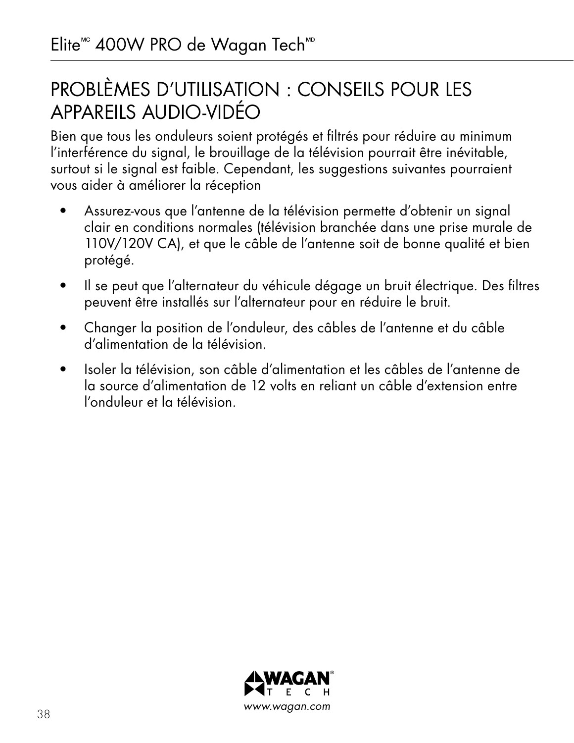## PROBLÈMES D'UTILISATION : CONSEILS POUR LES APPAREILS AUDIO-VIDÉO

Bien que tous les onduleurs soient protégés et filtrés pour réduire au minimum l'interférence du signal, le brouillage de la télévision pourrait être inévitable, surtout si le signal est faible. Cependant, les suggestions suivantes pourraient vous aider à améliorer la réception

- Assurez-vous que l'antenne de la télévision permette d'obtenir un signal clair en conditions normales (télévision branchée dans une prise murale de 110V/120V CA), et que le câble de l'antenne soit de bonne qualité et bien protégé.
- Il se peut que l'alternateur du véhicule dégage un bruit électrique. Des filtres peuvent être installés sur l'alternateur pour en réduire le bruit.
- Changer la position de l'onduleur, des câbles de l'antenne et du câble d'alimentation de la télévision.
- Isoler la télévision, son câble d'alimentation et les câbles de l'antenne de la source d'alimentation de 12 volts en reliant un câble d'extension entre l'onduleur et la télévision.

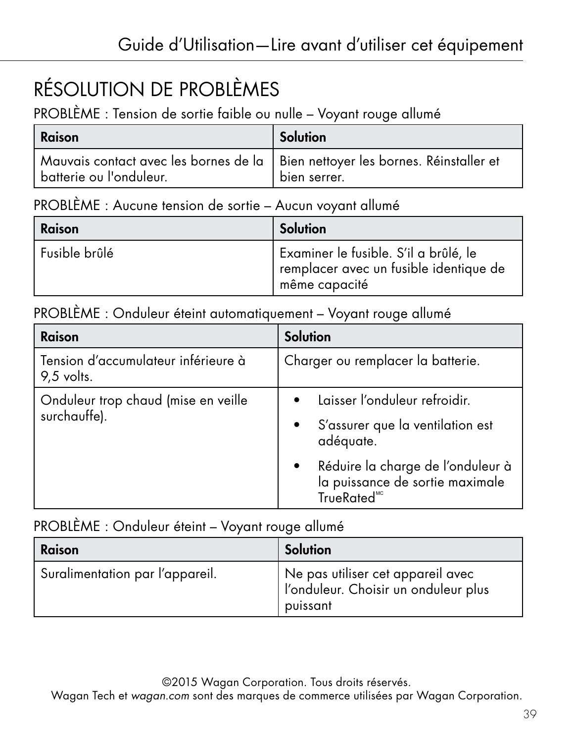# RÉSOLUTION DE PROBLÈMES

PROBLÈME : Tension de sortie faible ou nulle – Voyant rouge allumé

| Raison                                                                                                      | Solution     |
|-------------------------------------------------------------------------------------------------------------|--------------|
| Mauvais contact avec les bornes de la   Bien nettoyer les bornes. Réinstaller et<br>batterie ou l'onduleur. | bien serrer. |

#### PROBLÈME : Aucune tension de sortie – Aucun voyant allumé

| Raison        | Solution                                                                                         |
|---------------|--------------------------------------------------------------------------------------------------|
| Fusible brûlé | Examiner le fusible. S'il a brûlé, le<br>remplacer avec un fusible identique de<br>même capacité |

#### PROBLÈME : Onduleur éteint automatiquement – Voyant rouge allumé

| Raison                                              | <b>Solution</b>                                                                                |
|-----------------------------------------------------|------------------------------------------------------------------------------------------------|
| Tension d'accumulateur inférieure à<br>9,5 volts.   | Charger ou remplacer la batterie.                                                              |
| Onduleur trop chaud (mise en veille<br>surchauffe). | Laisser l'onduleur refroidir.                                                                  |
|                                                     | S'assurer que la ventilation est<br>adéquate.                                                  |
|                                                     | Réduire la charge de l'onduleur à<br>la puissance de sortie maximale<br>TrueRated <sup>"</sup> |

#### PROBLÈME : Onduleur éteint – Voyant rouge allumé

| Raison                          | Solution                                                                              |
|---------------------------------|---------------------------------------------------------------------------------------|
| Suralimentation par l'appareil. | Ne pas utiliser cet appareil avec<br>l'onduleur. Choisir un onduleur plus<br>puissant |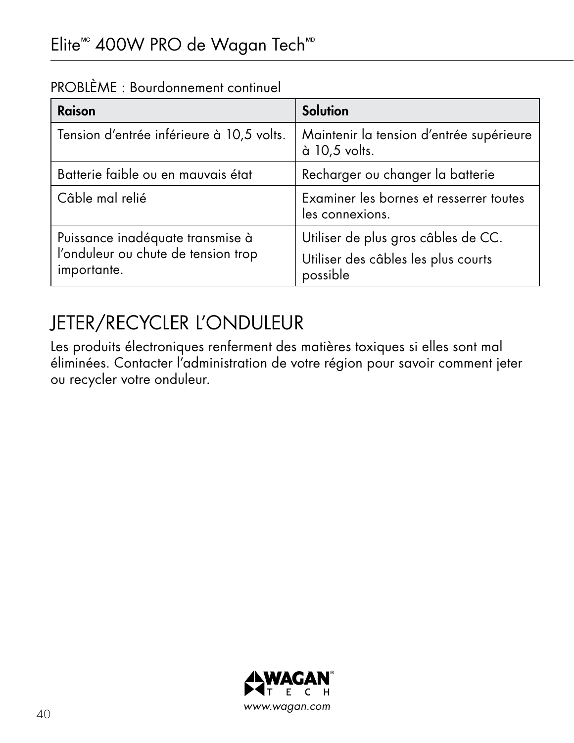| ROBLEIVIL, BOURGONNEMENT COMMODEL                                       |                                                                            |
|-------------------------------------------------------------------------|----------------------------------------------------------------------------|
| Raison                                                                  | Solution                                                                   |
| Tension d'entrée inférieure à 10,5 volts.                               | Maintenir la tension d'entrée supérieure<br>à 10,5 volts.                  |
| Batterie faible ou en mauvais état                                      | Recharger ou changer la batterie                                           |
| Câble mal relié                                                         | Examiner les bornes et resserrer toutes<br>les connexions.                 |
| Puissance inadéquate transmise à<br>l'onduleur ou chute de tension trop | Utiliser de plus gros câbles de CC.<br>Utiliser des câbles les plus courts |

PROBLÈME : Bourdonnement continuel

## JETER/RECYCLER L'ONDULEUR

importante.

Les produits électroniques renferment des matières toxiques si elles sont mal éliminées. Contacter l'administration de votre région pour savoir comment jeter ou recycler votre onduleur.

possible

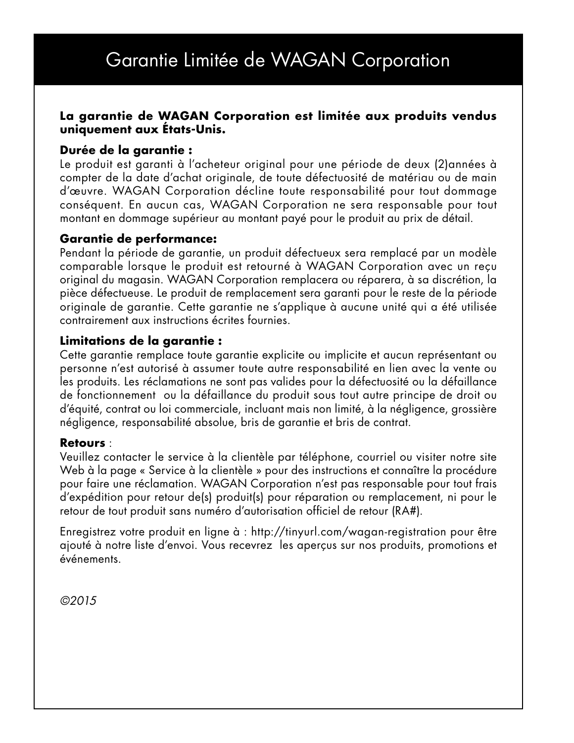### Garantie Limitée de WAGAN Corporation

#### **La garantie de WAGAN Corporation est limitée aux produits vendus uniquement aux États-Unis.**

#### **Durée de la garantie :**

Le produit est garanti à l'acheteur original pour une période de deux (2)années à compter de la date d'achat originale, de toute défectuosité de matériau ou de main d'œuvre. WAGAN Corporation décline toute responsabilité pour tout dommage conséquent. En aucun cas, WAGAN Corporation ne sera responsable pour tout montant en dommage supérieur au montant payé pour le produit au prix de détail.

#### **Garantie de performance:**

Pendant la période de garantie, un produit défectueux sera remplacé par un modèle comparable lorsque le produit est retourné à WAGAN Corporation avec un reçu original du magasin. WAGAN Corporation remplacera ou réparera, à sa discrétion, la pièce défectueuse. Le produit de remplacement sera garanti pour le reste de la période originale de garantie. Cette garantie ne s'applique à aucune unité qui a été utilisée contrairement aux instructions écrites fournies.

#### **Limitations de la garantie :**

Cette garantie remplace toute garantie explicite ou implicite et aucun représentant ou personne n'est autorisé à assumer toute autre responsabilité en lien avec la vente ou les produits. Les réclamations ne sont pas valides pour la défectuosité ou la défaillance de fonctionnement ou la défaillance du produit sous tout autre principe de droit ou d'équité, contrat ou loi commerciale, incluant mais non limité, à la négligence, grossière négligence, responsabilité absolue, bris de garantie et bris de contrat.

#### **Retours** :

Veuillez contacter le service à la clientèle par téléphone, courriel ou visiter notre site Web à la page « Service à la clientèle » pour des instructions et connaître la procédure pour faire une réclamation. WAGAN Corporation n'est pas responsable pour tout frais d'expédition pour retour de(s) produit(s) pour réparation ou remplacement, ni pour le retour de tout produit sans numéro d'autorisation officiel de retour (RA#).

Enregistrez votre produit en ligne à : http://tinyurl.com/wagan-registration pour être ajouté à notre liste d'envoi. Vous recevrez les aperçus sur nos produits, promotions et événements.

*©2015*